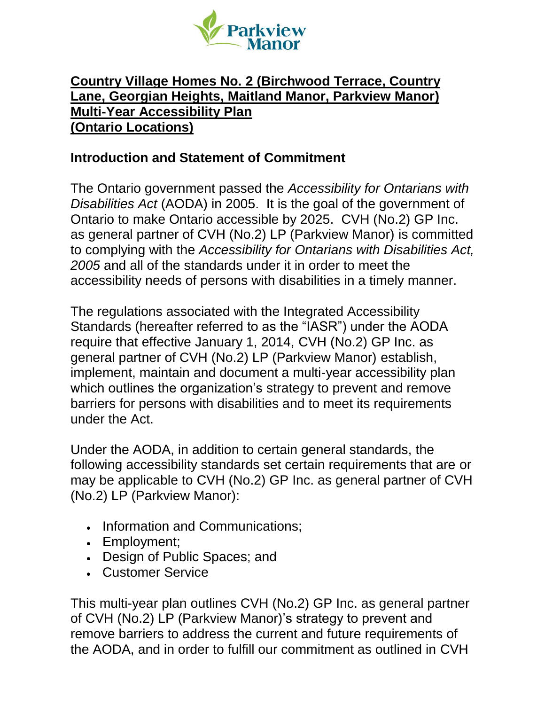

### **Country Village Homes No. 2 (Birchwood Terrace, Country Lane, Georgian Heights, Maitland Manor, Parkview Manor) Multi-Year Accessibility Plan (Ontario Locations)**

#### **Introduction and Statement of Commitment**

The Ontario government passed the *Accessibility for Ontarians with Disabilities Act* (AODA) in 2005. It is the goal of the government of Ontario to make Ontario accessible by 2025. CVH (No.2) GP Inc. as general partner of CVH (No.2) LP (Parkview Manor) is committed to complying with the *Accessibility for Ontarians with Disabilities Act, 2005* and all of the standards under it in order to meet the accessibility needs of persons with disabilities in a timely manner.

The regulations associated with the Integrated Accessibility Standards (hereafter referred to as the "IASR") under the AODA require that effective January 1, 2014, CVH (No.2) GP Inc. as general partner of CVH (No.2) LP (Parkview Manor) establish, implement, maintain and document a multi-year accessibility plan which outlines the organization's strategy to prevent and remove barriers for persons with disabilities and to meet its requirements under the Act.

Under the AODA, in addition to certain general standards, the following accessibility standards set certain requirements that are or may be applicable to CVH (No.2) GP Inc. as general partner of CVH (No.2) LP (Parkview Manor):

- Information and Communications;
- Employment;
- Design of Public Spaces; and
- Customer Service

This multi-year plan outlines CVH (No.2) GP Inc. as general partner of CVH (No.2) LP (Parkview Manor)'s strategy to prevent and remove barriers to address the current and future requirements of the AODA, and in order to fulfill our commitment as outlined in CVH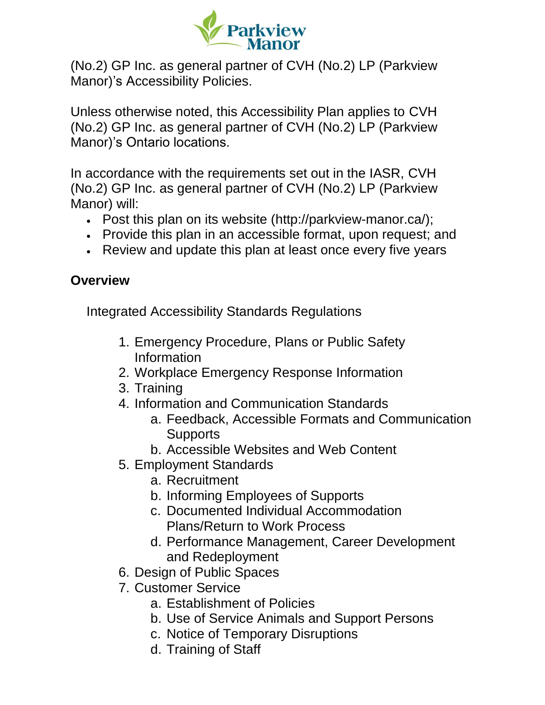

(No.2) GP Inc. as general partner of CVH (No.2) LP (Parkview Manor)'s Accessibility Policies.

Unless otherwise noted, this Accessibility Plan applies to CVH (No.2) GP Inc. as general partner of CVH (No.2) LP (Parkview Manor)'s Ontario locations.

In accordance with the requirements set out in the IASR, CVH (No.2) GP Inc. as general partner of CVH (No.2) LP (Parkview Manor) will:

- Post this plan on its website (http://parkview-manor.ca/);
- Provide this plan in an accessible format, upon request; and
- Review and update this plan at least once every five years

### **Overview**

Integrated Accessibility Standards Regulations

- 1. Emergency Procedure, Plans or Public Safety Information
- 2. Workplace Emergency Response Information
- 3. Training
- 4. Information and Communication Standards
	- a. Feedback, Accessible Formats and Communication **Supports**
	- b. Accessible Websites and Web Content
- 5. Employment Standards
	- a. Recruitment
	- b. Informing Employees of Supports
	- c. Documented Individual Accommodation Plans/Return to Work Process
	- d. Performance Management, Career Development and Redeployment
- 6. Design of Public Spaces
- 7. Customer Service
	- a. Establishment of Policies
	- b. Use of Service Animals and Support Persons
	- c. Notice of Temporary Disruptions
	- d. Training of Staff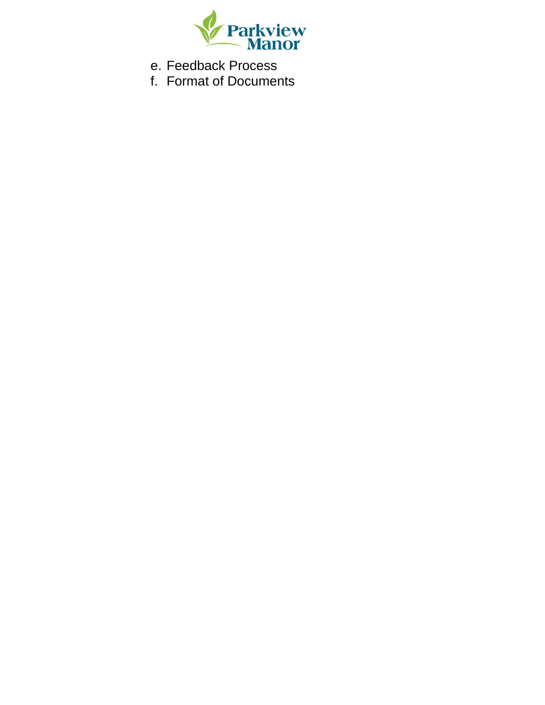

e. Feedback Process

f. Format of Documents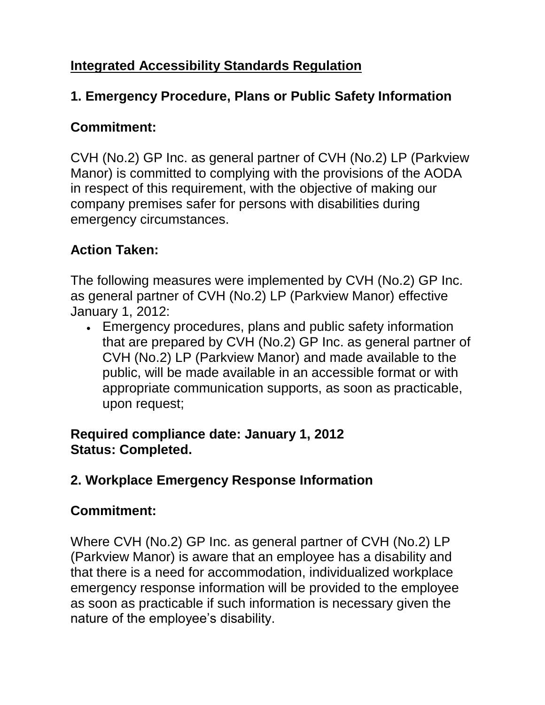## **Integrated Accessibility Standards Regulation**

### **1. Emergency Procedure, Plans or Public Safety Information**

### **Commitment:**

CVH (No.2) GP Inc. as general partner of CVH (No.2) LP (Parkview Manor) is committed to complying with the provisions of the AODA in respect of this requirement, with the objective of making our company premises safer for persons with disabilities during emergency circumstances.

## **Action Taken:**

The following measures were implemented by CVH (No.2) GP Inc. as general partner of CVH (No.2) LP (Parkview Manor) effective January 1, 2012:

• Emergency procedures, plans and public safety information that are prepared by CVH (No.2) GP Inc. as general partner of CVH (No.2) LP (Parkview Manor) and made available to the public, will be made available in an accessible format or with appropriate communication supports, as soon as practicable, upon request;

### **Required compliance date: January 1, 2012 Status: Completed.**

## **2. Workplace Emergency Response Information**

## **Commitment:**

Where CVH (No.2) GP Inc. as general partner of CVH (No.2) LP (Parkview Manor) is aware that an employee has a disability and that there is a need for accommodation, individualized workplace emergency response information will be provided to the employee as soon as practicable if such information is necessary given the nature of the employee's disability.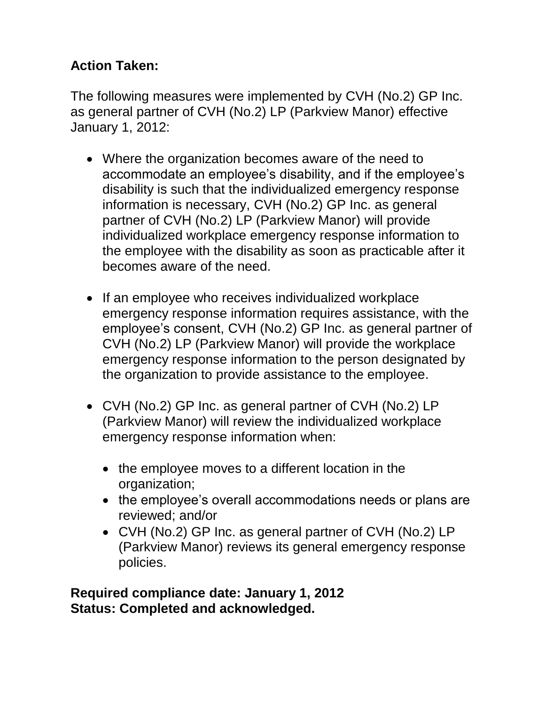## **Action Taken:**

The following measures were implemented by CVH (No.2) GP Inc. as general partner of CVH (No.2) LP (Parkview Manor) effective January 1, 2012:

- Where the organization becomes aware of the need to accommodate an employee's disability, and if the employee's disability is such that the individualized emergency response information is necessary, CVH (No.2) GP Inc. as general partner of CVH (No.2) LP (Parkview Manor) will provide individualized workplace emergency response information to the employee with the disability as soon as practicable after it becomes aware of the need.
- If an employee who receives individualized workplace emergency response information requires assistance, with the employee's consent, CVH (No.2) GP Inc. as general partner of CVH (No.2) LP (Parkview Manor) will provide the workplace emergency response information to the person designated by the organization to provide assistance to the employee.
- CVH (No.2) GP Inc. as general partner of CVH (No.2) LP (Parkview Manor) will review the individualized workplace emergency response information when:
	- the employee moves to a different location in the organization;
	- the employee's overall accommodations needs or plans are reviewed; and/or
	- CVH (No.2) GP Inc. as general partner of CVH (No.2) LP (Parkview Manor) reviews its general emergency response policies.

**Required compliance date: January 1, 2012 Status: Completed and acknowledged.**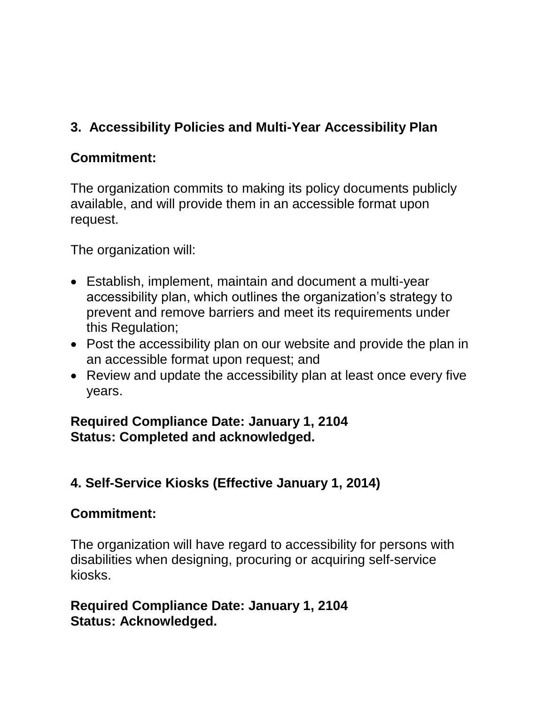## **3. Accessibility Policies and Multi-Year Accessibility Plan**

## **Commitment:**

The organization commits to making its policy documents publicly available, and will provide them in an accessible format upon request.

The organization will:

- Establish, implement, maintain and document a multi-year accessibility plan, which outlines the organization's strategy to prevent and remove barriers and meet its requirements under this Regulation;
- Post the accessibility plan on our website and provide the plan in an accessible format upon request; and
- Review and update the accessibility plan at least once every five years.

### **Required Compliance Date: January 1, 2104 Status: Completed and acknowledged.**

## **4. Self-Service Kiosks (Effective January 1, 2014)**

### **Commitment:**

The organization will have regard to accessibility for persons with disabilities when designing, procuring or acquiring self-service kiosks.

### **Required Compliance Date: January 1, 2104 Status: Acknowledged.**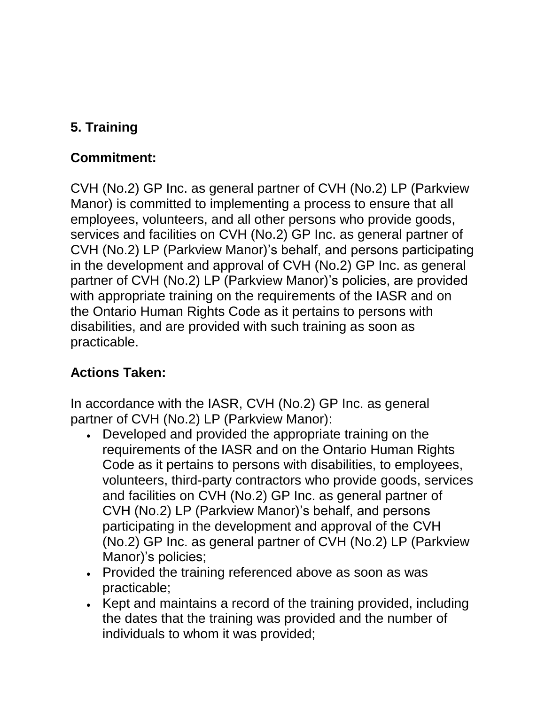## **5. Training**

## **Commitment:**

CVH (No.2) GP Inc. as general partner of CVH (No.2) LP (Parkview Manor) is committed to implementing a process to ensure that all employees, volunteers, and all other persons who provide goods, services and facilities on CVH (No.2) GP Inc. as general partner of CVH (No.2) LP (Parkview Manor)'s behalf, and persons participating in the development and approval of CVH (No.2) GP Inc. as general partner of CVH (No.2) LP (Parkview Manor)'s policies, are provided with appropriate training on the requirements of the IASR and on the Ontario Human Rights Code as it pertains to persons with disabilities, and are provided with such training as soon as practicable.

# **Actions Taken:**

In accordance with the IASR, CVH (No.2) GP Inc. as general partner of CVH (No.2) LP (Parkview Manor):

- Developed and provided the appropriate training on the requirements of the IASR and on the Ontario Human Rights Code as it pertains to persons with disabilities, to employees, volunteers, third-party contractors who provide goods, services and facilities on CVH (No.2) GP Inc. as general partner of CVH (No.2) LP (Parkview Manor)'s behalf, and persons participating in the development and approval of the CVH (No.2) GP Inc. as general partner of CVH (No.2) LP (Parkview Manor)'s policies;
- Provided the training referenced above as soon as was practicable;
- Kept and maintains a record of the training provided, including the dates that the training was provided and the number of individuals to whom it was provided;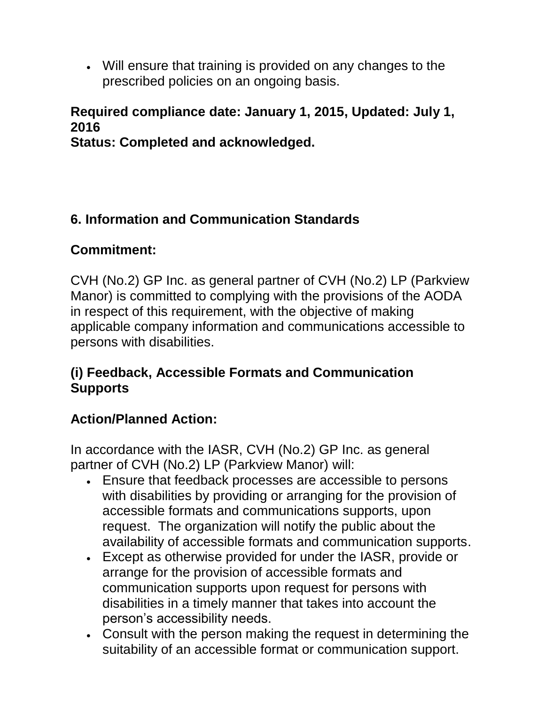• Will ensure that training is provided on any changes to the prescribed policies on an ongoing basis.

## **Required compliance date: January 1, 2015, Updated: July 1, 2016**

**Status: Completed and acknowledged.**

## **6. Information and Communication Standards**

## **Commitment:**

CVH (No.2) GP Inc. as general partner of CVH (No.2) LP (Parkview Manor) is committed to complying with the provisions of the AODA in respect of this requirement, with the objective of making applicable company information and communications accessible to persons with disabilities.

### **(i) Feedback, Accessible Formats and Communication Supports**

## **Action/Planned Action:**

In accordance with the IASR, CVH (No.2) GP Inc. as general partner of CVH (No.2) LP (Parkview Manor) will:

- Ensure that feedback processes are accessible to persons with disabilities by providing or arranging for the provision of accessible formats and communications supports, upon request. The organization will notify the public about the availability of accessible formats and communication supports.
- Except as otherwise provided for under the IASR, provide or arrange for the provision of accessible formats and communication supports upon request for persons with disabilities in a timely manner that takes into account the person's accessibility needs.
- Consult with the person making the request in determining the suitability of an accessible format or communication support.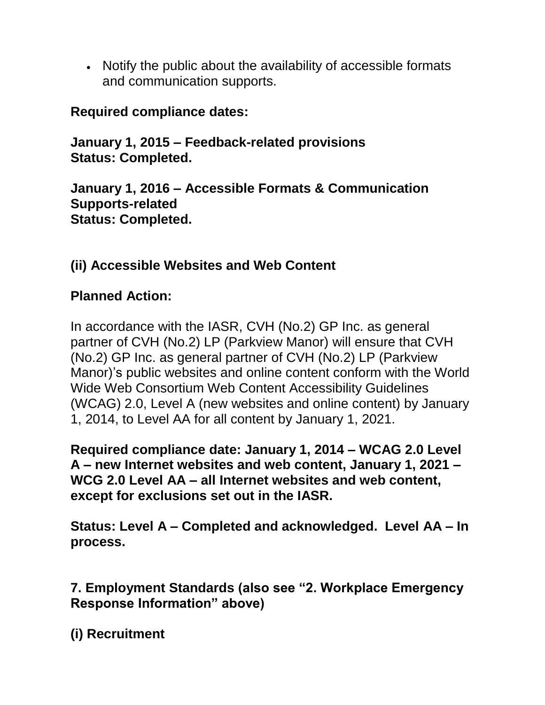• Notify the public about the availability of accessible formats and communication supports.

### **Required compliance dates:**

**January 1, 2015 – Feedback-related provisions Status: Completed.**

**January 1, 2016 – Accessible Formats & Communication Supports-related Status: Completed.**

## **(ii) Accessible Websites and Web Content**

### **Planned Action:**

In accordance with the IASR, CVH (No.2) GP Inc. as general partner of CVH (No.2) LP (Parkview Manor) will ensure that CVH (No.2) GP Inc. as general partner of CVH (No.2) LP (Parkview Manor)'s public websites and online content conform with the World Wide Web Consortium Web Content Accessibility Guidelines (WCAG) 2.0, Level A (new websites and online content) by January 1, 2014, to Level AA for all content by January 1, 2021.

**Required compliance date: January 1, 2014 – WCAG 2.0 Level A – new Internet websites and web content, January 1, 2021 – WCG 2.0 Level AA – all Internet websites and web content, except for exclusions set out in the IASR.** 

**Status: Level A – Completed and acknowledged. Level AA – In process.**

**7. Employment Standards (also see "2. Workplace Emergency Response Information" above)**

**(i) Recruitment**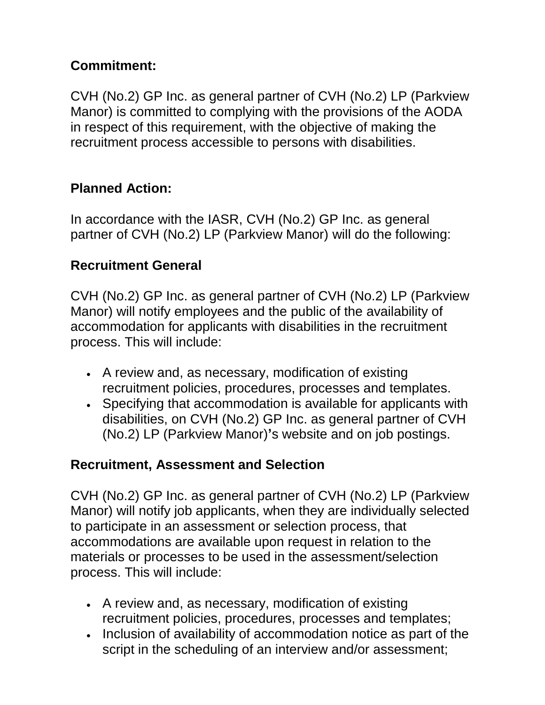## **Commitment:**

CVH (No.2) GP Inc. as general partner of CVH (No.2) LP (Parkview Manor) is committed to complying with the provisions of the AODA in respect of this requirement, with the objective of making the recruitment process accessible to persons with disabilities.

## **Planned Action:**

In accordance with the IASR, CVH (No.2) GP Inc. as general partner of CVH (No.2) LP (Parkview Manor) will do the following:

### **Recruitment General**

CVH (No.2) GP Inc. as general partner of CVH (No.2) LP (Parkview Manor) will notify employees and the public of the availability of accommodation for applicants with disabilities in the recruitment process. This will include:

- A review and, as necessary, modification of existing recruitment policies, procedures, processes and templates.
- Specifying that accommodation is available for applicants with disabilities, on CVH (No.2) GP Inc. as general partner of CVH (No.2) LP (Parkview Manor)**'**s website and on job postings.

### **Recruitment, Assessment and Selection**

CVH (No.2) GP Inc. as general partner of CVH (No.2) LP (Parkview Manor) will notify job applicants, when they are individually selected to participate in an assessment or selection process, that accommodations are available upon request in relation to the materials or processes to be used in the assessment/selection process. This will include:

- A review and, as necessary, modification of existing recruitment policies, procedures, processes and templates;
- Inclusion of availability of accommodation notice as part of the script in the scheduling of an interview and/or assessment;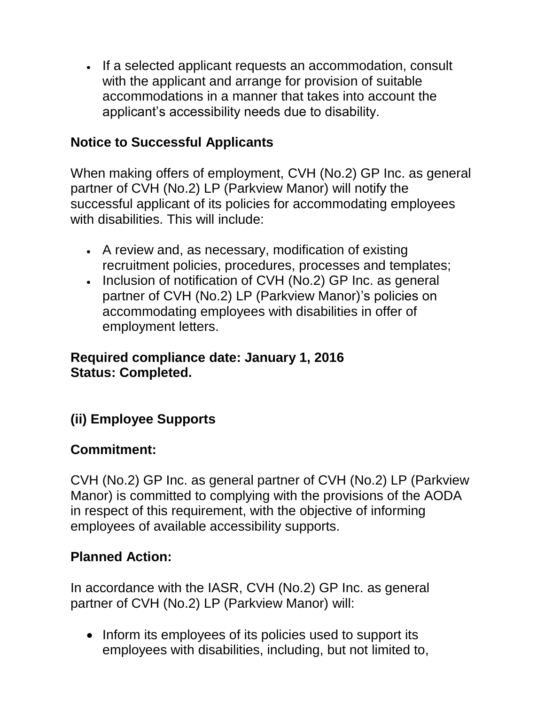• If a selected applicant requests an accommodation, consult with the applicant and arrange for provision of suitable accommodations in a manner that takes into account the applicant's accessibility needs due to disability.

## **Notice to Successful Applicants**

When making offers of employment, CVH (No.2) GP Inc. as general partner of CVH (No.2) LP (Parkview Manor) will notify the successful applicant of its policies for accommodating employees with disabilities. This will include:

- A review and, as necessary, modification of existing recruitment policies, procedures, processes and templates;
- Inclusion of notification of CVH (No.2) GP Inc. as general partner of CVH (No.2) LP (Parkview Manor)'s policies on accommodating employees with disabilities in offer of employment letters.

### **Required compliance date: January 1, 2016 Status: Completed.**

## **(ii) Employee Supports**

### **Commitment:**

CVH (No.2) GP Inc. as general partner of CVH (No.2) LP (Parkview Manor) is committed to complying with the provisions of the AODA in respect of this requirement, with the objective of informing employees of available accessibility supports.

## **Planned Action:**

In accordance with the IASR, CVH (No.2) GP Inc. as general partner of CVH (No.2) LP (Parkview Manor) will:

• Inform its employees of its policies used to support its employees with disabilities, including, but not limited to,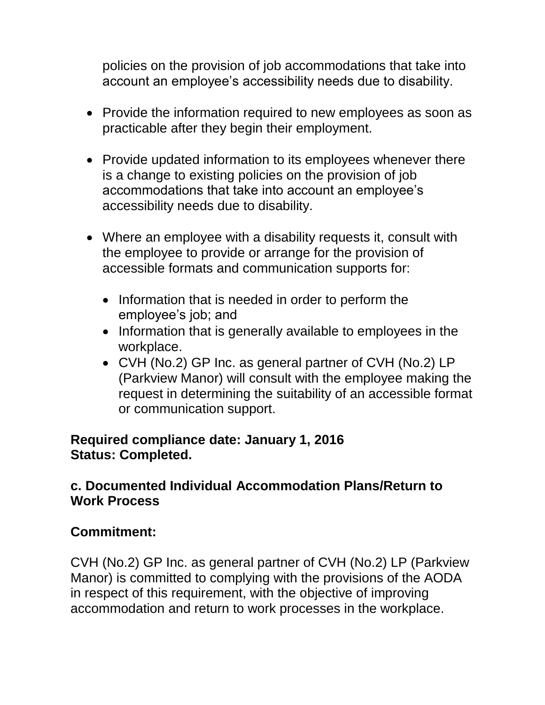policies on the provision of job accommodations that take into account an employee's accessibility needs due to disability.

- Provide the information required to new employees as soon as practicable after they begin their employment.
- Provide updated information to its employees whenever there is a change to existing policies on the provision of job accommodations that take into account an employee's accessibility needs due to disability.
- Where an employee with a disability requests it, consult with the employee to provide or arrange for the provision of accessible formats and communication supports for:
	- Information that is needed in order to perform the employee's job; and
	- Information that is generally available to employees in the workplace.
	- CVH (No.2) GP Inc. as general partner of CVH (No.2) LP (Parkview Manor) will consult with the employee making the request in determining the suitability of an accessible format or communication support.

#### **Required compliance date: January 1, 2016 Status: Completed.**

### **c. Documented Individual Accommodation Plans/Return to Work Process**

### **Commitment:**

CVH (No.2) GP Inc. as general partner of CVH (No.2) LP (Parkview Manor) is committed to complying with the provisions of the AODA in respect of this requirement, with the objective of improving accommodation and return to work processes in the workplace.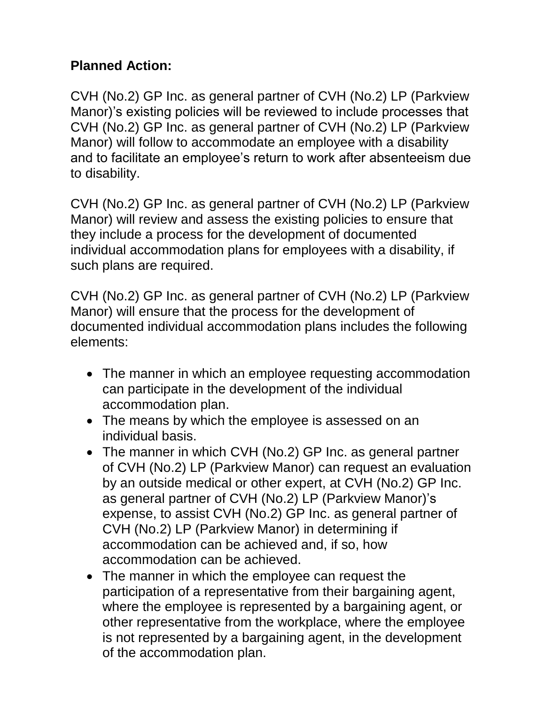## **Planned Action:**

CVH (No.2) GP Inc. as general partner of CVH (No.2) LP (Parkview Manor)'s existing policies will be reviewed to include processes that CVH (No.2) GP Inc. as general partner of CVH (No.2) LP (Parkview Manor) will follow to accommodate an employee with a disability and to facilitate an employee's return to work after absenteeism due to disability.

CVH (No.2) GP Inc. as general partner of CVH (No.2) LP (Parkview Manor) will review and assess the existing policies to ensure that they include a process for the development of documented individual accommodation plans for employees with a disability, if such plans are required.

CVH (No.2) GP Inc. as general partner of CVH (No.2) LP (Parkview Manor) will ensure that the process for the development of documented individual accommodation plans includes the following elements:

- The manner in which an employee requesting accommodation can participate in the development of the individual accommodation plan.
- The means by which the employee is assessed on an individual basis.
- The manner in which CVH (No.2) GP Inc. as general partner of CVH (No.2) LP (Parkview Manor) can request an evaluation by an outside medical or other expert, at CVH (No.2) GP Inc. as general partner of CVH (No.2) LP (Parkview Manor)'s expense, to assist CVH (No.2) GP Inc. as general partner of CVH (No.2) LP (Parkview Manor) in determining if accommodation can be achieved and, if so, how accommodation can be achieved.
- The manner in which the employee can request the participation of a representative from their bargaining agent, where the employee is represented by a bargaining agent, or other representative from the workplace, where the employee is not represented by a bargaining agent, in the development of the accommodation plan.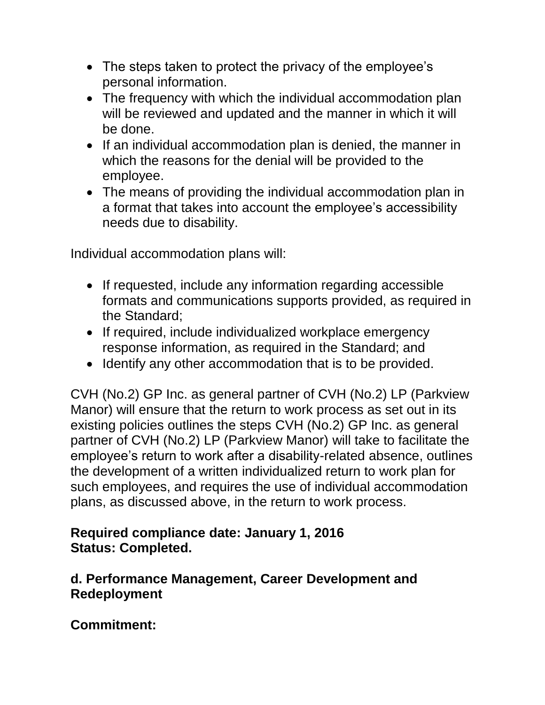- The steps taken to protect the privacy of the employee's personal information.
- The frequency with which the individual accommodation plan will be reviewed and updated and the manner in which it will be done.
- If an individual accommodation plan is denied, the manner in which the reasons for the denial will be provided to the employee.
- The means of providing the individual accommodation plan in a format that takes into account the employee's accessibility needs due to disability.

Individual accommodation plans will:

- If requested, include any information regarding accessible formats and communications supports provided, as required in the Standard;
- If required, include individualized workplace emergency response information, as required in the Standard; and
- Identify any other accommodation that is to be provided.

CVH (No.2) GP Inc. as general partner of CVH (No.2) LP (Parkview Manor) will ensure that the return to work process as set out in its existing policies outlines the steps CVH (No.2) GP Inc. as general partner of CVH (No.2) LP (Parkview Manor) will take to facilitate the employee's return to work after a disability-related absence, outlines the development of a written individualized return to work plan for such employees, and requires the use of individual accommodation plans, as discussed above, in the return to work process.

### **Required compliance date: January 1, 2016 Status: Completed.**

### **d. Performance Management, Career Development and Redeployment**

**Commitment:**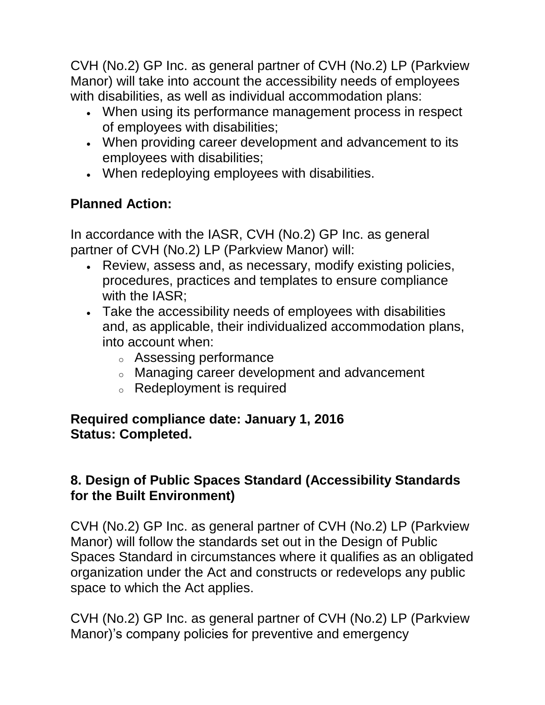CVH (No.2) GP Inc. as general partner of CVH (No.2) LP (Parkview Manor) will take into account the accessibility needs of employees with disabilities, as well as individual accommodation plans:

- When using its performance management process in respect of employees with disabilities;
- When providing career development and advancement to its employees with disabilities;
- When redeploying employees with disabilities.

# **Planned Action:**

In accordance with the IASR, CVH (No.2) GP Inc. as general partner of CVH (No.2) LP (Parkview Manor) will:

- Review, assess and, as necessary, modify existing policies, procedures, practices and templates to ensure compliance with the IASR;
- Take the accessibility needs of employees with disabilities and, as applicable, their individualized accommodation plans, into account when:
	- <sup>o</sup> Assessing performance
	- <sup>o</sup> Managing career development and advancement
	- <sup>o</sup> Redeployment is required

### **Required compliance date: January 1, 2016 Status: Completed.**

## **8. Design of Public Spaces Standard (Accessibility Standards for the Built Environment)**

CVH (No.2) GP Inc. as general partner of CVH (No.2) LP (Parkview Manor) will follow the standards set out in the Design of Public Spaces Standard in circumstances where it qualifies as an obligated organization under the Act and constructs or redevelops any public space to which the Act applies.

CVH (No.2) GP Inc. as general partner of CVH (No.2) LP (Parkview Manor)'s company policies for preventive and emergency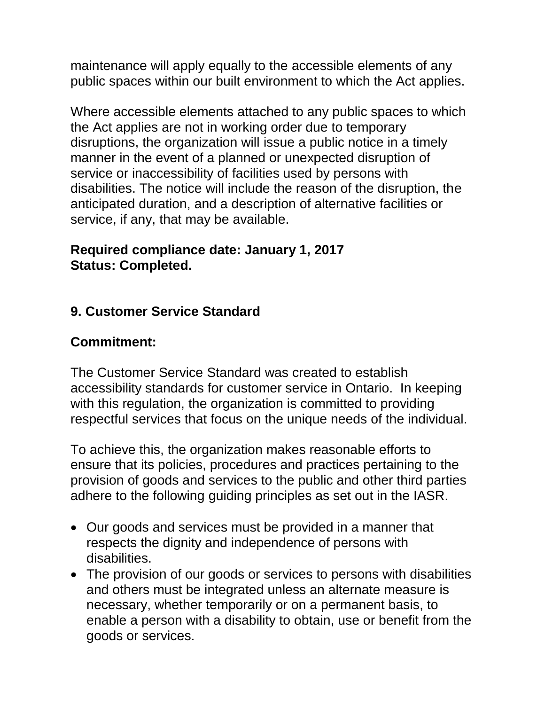maintenance will apply equally to the accessible elements of any public spaces within our built environment to which the Act applies.

Where accessible elements attached to any public spaces to which the Act applies are not in working order due to temporary disruptions, the organization will issue a public notice in a timely manner in the event of a planned or unexpected disruption of service or inaccessibility of facilities used by persons with disabilities. The notice will include the reason of the disruption, the anticipated duration, and a description of alternative facilities or service, if any, that may be available.

#### **Required compliance date: January 1, 2017 Status: Completed.**

### **9. Customer Service Standard**

### **Commitment:**

The Customer Service Standard was created to establish accessibility standards for customer service in Ontario. In keeping with this regulation, the organization is committed to providing respectful services that focus on the unique needs of the individual.

To achieve this, the organization makes reasonable efforts to ensure that its policies, procedures and practices pertaining to the provision of goods and services to the public and other third parties adhere to the following guiding principles as set out in the IASR.

- Our goods and services must be provided in a manner that respects the dignity and independence of persons with disabilities.
- The provision of our goods or services to persons with disabilities and others must be integrated unless an alternate measure is necessary, whether temporarily or on a permanent basis, to enable a person with a disability to obtain, use or benefit from the goods or services.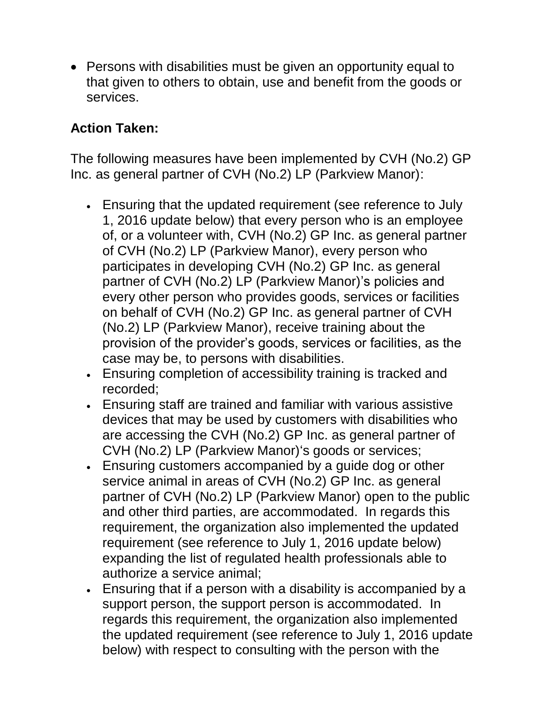• Persons with disabilities must be given an opportunity equal to that given to others to obtain, use and benefit from the goods or services.

## **Action Taken:**

The following measures have been implemented by CVH (No.2) GP Inc. as general partner of CVH (No.2) LP (Parkview Manor):

- Ensuring that the updated requirement (see reference to July 1, 2016 update below) that every person who is an employee of, or a volunteer with, CVH (No.2) GP Inc. as general partner of CVH (No.2) LP (Parkview Manor), every person who participates in developing CVH (No.2) GP Inc. as general partner of CVH (No.2) LP (Parkview Manor)'s policies and every other person who provides goods, services or facilities on behalf of CVH (No.2) GP Inc. as general partner of CVH (No.2) LP (Parkview Manor), receive training about the provision of the provider's goods, services or facilities, as the case may be, to persons with disabilities.
- Ensuring completion of accessibility training is tracked and recorded;
- Ensuring staff are trained and familiar with various assistive devices that may be used by customers with disabilities who are accessing the CVH (No.2) GP Inc. as general partner of CVH (No.2) LP (Parkview Manor)'s goods or services;
- Ensuring customers accompanied by a guide dog or other service animal in areas of CVH (No.2) GP Inc. as general partner of CVH (No.2) LP (Parkview Manor) open to the public and other third parties, are accommodated. In regards this requirement, the organization also implemented the updated requirement (see reference to July 1, 2016 update below) expanding the list of regulated health professionals able to authorize a service animal;
- Ensuring that if a person with a disability is accompanied by a support person, the support person is accommodated. In regards this requirement, the organization also implemented the updated requirement (see reference to July 1, 2016 update below) with respect to consulting with the person with the